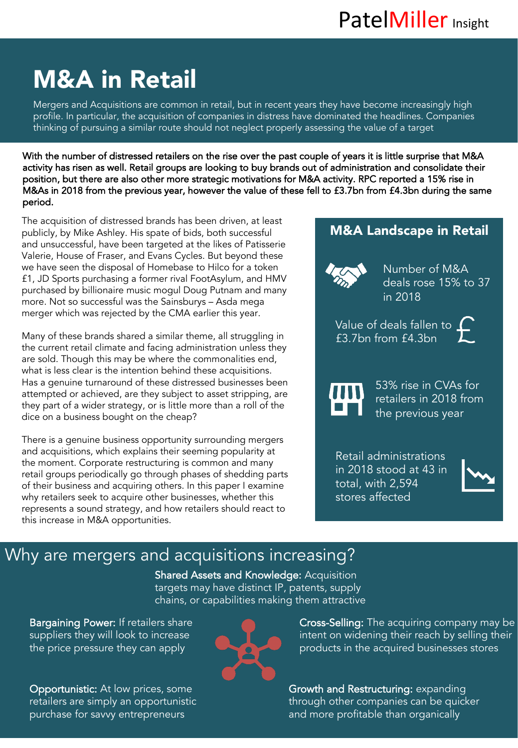# M&A in Retail

Mergers and Acquisitions are common in retail, but in recent years they have become increasingly high profile. In particular, the acquisition of companies in distress have dominated the headlines. Companies thinking of pursuing a similar route should not neglect properly assessing the value of a target

With the number of distressed retailers on the rise over the past couple of years it is little surprise that M&A activity has risen as well. Retail groups are looking to buy brands out of administration and consolidate their position, but there are also other more strategic motivations for M&A activity. RPC reported a 15% rise in M&As in 2018 from the previous year, however the value of these fell to £3.7bn from £4.3bn during the same period.

The acquisition of distressed brands has been driven, at least publicly, by Mike Ashley. His spate of bids, both successful and unsuccessful, have been targeted at the likes of Patisserie Valerie, House of Fraser, and Evans Cycles. But beyond these we have seen the disposal of Homebase to Hilco for a token £1, JD Sports purchasing a former rival FootAsylum, and HMV purchased by billionaire music mogul Doug Putnam and many more. Not so successful was the Sainsburys – Asda mega merger which was rejected by the CMA earlier this year.

Many of these brands shared a similar theme, all struggling in the current retail climate and facing administration unless they are sold. Though this may be where the commonalities end, what is less clear is the intention behind these acquisitions. Has a genuine turnaround of these distressed businesses been attempted or achieved, are they subject to asset stripping, are they part of a wider strategy, or is little more than a roll of the dice on a business bought on the cheap?

There is a genuine business opportunity surrounding mergers and acquisitions, which explains their seeming popularity at the moment. Corporate restructuring is common and many retail groups periodically go through phases of shedding parts of their business and acquiring others. In this paper I examine why retailers seek to acquire other businesses, whether this represents a sound strategy, and how retailers should react to this increase in M&A opportunities.

## M&A Landscape in Retail Number of M&A deals rose 15% to 37 in 2018 Value of deals fallen to  $\Gamma$ £3.7bn from £4.3bn 53% rise in CVAs for retailers in 2018 from the previous year

Retail administrations in 2018 stood at 43 in total, with 2,594 stores affected



### Why are mergers and acquisitions increasing?

Shared Assets and Knowledge: Acquisition targets may have distinct IP, patents, supply chains, or capabilities making them attractive

Bargaining Power: If retailers share suppliers they will look to increase the price pressure they can apply

Opportunistic: At low prices, some retailers are simply an opportunistic purchase for savvy entrepreneurs



Cross-Selling: The acquiring company may be intent on widening their reach by selling their products in the acquired businesses stores

Growth and Restructuring: expanding through other companies can be quicker and more profitable than organically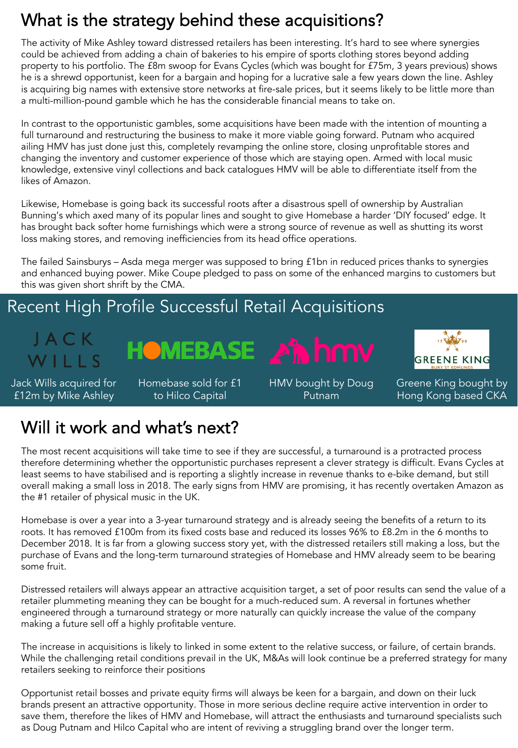### What is the strategy behind these acquisitions?

The activity of Mike Ashley toward distressed retailers has been interesting. It's hard to see where synergies could be achieved from adding a chain of bakeries to his empire of sports clothing stores beyond adding property to his portfolio. The £8m swoop for Evans Cycles (which was bought for £75m, 3 years previous) shows he is a shrewd opportunist, keen for a bargain and hoping for a lucrative sale a few years down the line. Ashley is acquiring big names with extensive store networks at fire-sale prices, but it seems likely to be little more than a multi-million-pound gamble which he has the considerable financial means to take on.

In contrast to the opportunistic gambles, some acquisitions have been made with the intention of mounting a full turnaround and restructuring the business to make it more viable going forward. Putnam who acquired ailing HMV has just done just this, completely revamping the online store, closing unprofitable stores and changing the inventory and customer experience of those which are staying open. Armed with local music knowledge, extensive vinyl collections and back catalogues HMV will be able to differentiate itself from the likes of Amazon.

Likewise, Homebase is going back its successful roots after a disastrous spell of ownership by Australian Bunning's which axed many of its popular lines and sought to give Homebase a harder 'DIY focused' edge. It has brought back softer home furnishings which were a strong source of revenue as well as shutting its worst loss making stores, and removing inefficiencies from its head office operations.

The failed Sainsburys – Asda mega merger was supposed to bring £1bn in reduced prices thanks to synergies and enhanced buying power. Mike Coupe pledged to pass on some of the enhanced margins to customers but this was given short shrift by the CMA.

**HOMEBASE An hmv** 

#### Recent High Profile Successful Retail Acquisitions



Jack Wills acquired for £12m by Mike Ashley

Homebase sold for £1 to Hilco Capital

HMV bought by Doug Putnam



Greene King bought by Hong Kong based CKA

#### Will it work and what's next?

The most recent acquisitions will take time to see if they are successful, a turnaround is a protracted process therefore determining whether the opportunistic purchases represent a clever strategy is difficult. Evans Cycles at least seems to have stabilised and is reporting a slightly increase in revenue thanks to e-bike demand, but still overall making a small loss in 2018. The early signs from HMV are promising, it has recently overtaken Amazon as the #1 retailer of physical music in the UK.

Homebase is over a year into a 3-year turnaround strategy and is already seeing the benefits of a return to its roots. It has removed £100m from its fixed costs base and reduced its losses 96% to £8.2m in the 6 months to December 2018. It is far from a glowing success story yet, with the distressed retailers still making a loss, but the purchase of Evans and the long-term turnaround strategies of Homebase and HMV already seem to be bearing some fruit.

Distressed retailers will always appear an attractive acquisition target, a set of poor results can send the value of a retailer plummeting meaning they can be bought for a much-reduced sum. A reversal in fortunes whether engineered through a turnaround strategy or more naturally can quickly increase the value of the company making a future sell off a highly profitable venture.

The increase in acquisitions is likely to linked in some extent to the relative success, or failure, of certain brands. While the challenging retail conditions prevail in the UK, M&As will look continue be a preferred strategy for many retailers seeking to reinforce their positions

Opportunist retail bosses and private equity firms will always be keen for a bargain, and down on their luck brands present an attractive opportunity. Those in more serious decline require active intervention in order to save them, therefore the likes of HMV and Homebase, will attract the enthusiasts and turnaround specialists such as Doug Putnam and Hilco Capital who are intent of reviving a struggling brand over the longer term.